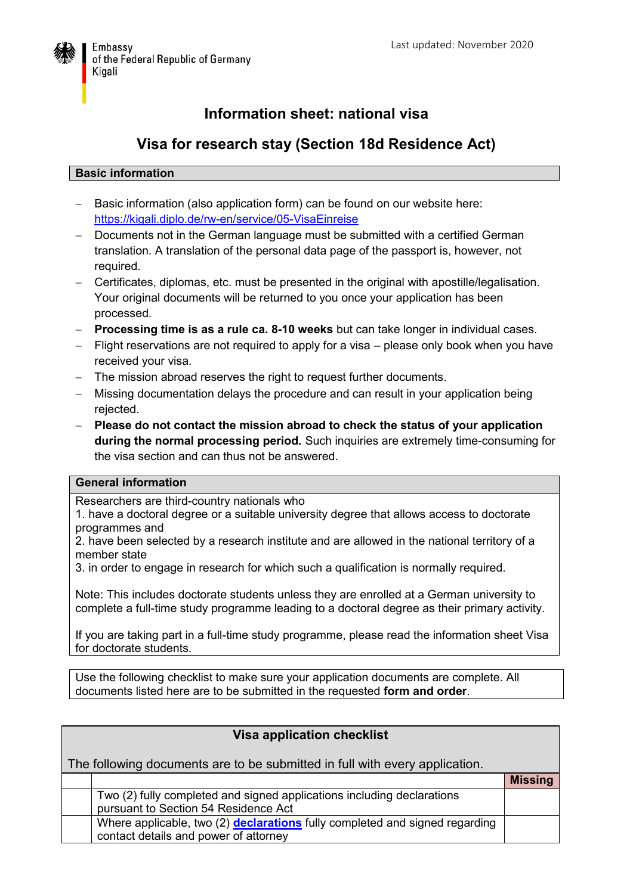

# **Information sheet: national visa**

## **Visa for research stay (Section 18d Residence Act)**

#### **Basic information**

- Basic information (also application form) can be found on our website here: <https://kigali.diplo.de/rw-en/service/05-VisaEinreise>
- Documents not in the German language must be submitted with a certified German translation. A translation of the personal data page of the passport is, however, not required.
- Certificates, diplomas, etc. must be presented in the original with apostille/legalisation. Your original documents will be returned to you once your application has been processed.
- **Processing time is as a rule ca. 8-10 weeks** but can take longer in individual cases.
- $-$  Flight reservations are not required to apply for a visa  $-$  please only book when you have received your visa.
- The mission abroad reserves the right to request further documents.
- Missing documentation delays the procedure and can result in your application being rejected.
- **Please do not contact the mission abroad to check the status of your application during the normal processing period.** Such inquiries are extremely time-consuming for the visa section and can thus not be answered.

#### **General information**

Researchers are third-country nationals who

1. have a doctoral degree or a suitable university degree that allows access to doctorate programmes and

2. have been selected by a research institute and are allowed in the national territory of a member state

3. in order to engage in research for which such a qualification is normally required.

Note: This includes doctorate students unless they are enrolled at a German university to complete a full-time study programme leading to a doctoral degree as their primary activity.

If you are taking part in a full-time study programme, please read the information sheet Visa for doctorate students.

Use the following checklist to make sure your application documents are complete. All documents listed here are to be submitted in the requested **form and order**.

| <b>Visa application checklist</b>                                           |                                                                                                                      |                |  |
|-----------------------------------------------------------------------------|----------------------------------------------------------------------------------------------------------------------|----------------|--|
| The following documents are to be submitted in full with every application. |                                                                                                                      |                |  |
|                                                                             |                                                                                                                      | <b>Missing</b> |  |
|                                                                             | Two (2) fully completed and signed applications including declarations<br>pursuant to Section 54 Residence Act       |                |  |
|                                                                             | Where applicable, two (2) declarations fully completed and signed regarding<br>contact details and power of attorney |                |  |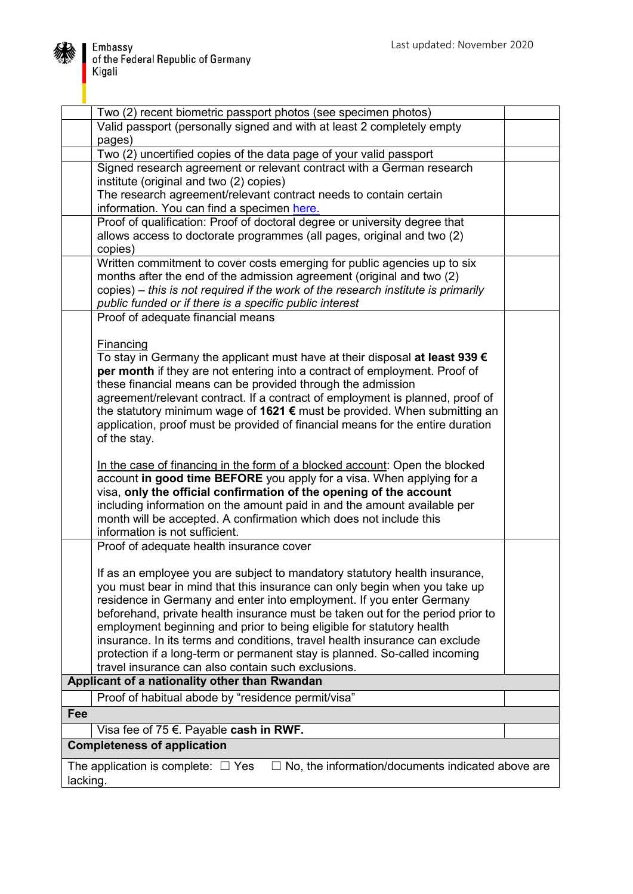

| Two (2) recent biometric passport photos (see specimen photos)                                                                                       |  |  |
|------------------------------------------------------------------------------------------------------------------------------------------------------|--|--|
| Valid passport (personally signed and with at least 2 completely empty                                                                               |  |  |
| pages)                                                                                                                                               |  |  |
| Two (2) uncertified copies of the data page of your valid passport                                                                                   |  |  |
| Signed research agreement or relevant contract with a German research                                                                                |  |  |
| institute (original and two (2) copies)                                                                                                              |  |  |
| The research agreement/relevant contract needs to contain certain                                                                                    |  |  |
| information. You can find a specimen here.                                                                                                           |  |  |
| Proof of qualification: Proof of doctoral degree or university degree that                                                                           |  |  |
| allows access to doctorate programmes (all pages, original and two (2)                                                                               |  |  |
| copies)                                                                                                                                              |  |  |
| Written commitment to cover costs emerging for public agencies up to six                                                                             |  |  |
| months after the end of the admission agreement (original and two (2)                                                                                |  |  |
| copies) – this is not required if the work of the research institute is primarily                                                                    |  |  |
| public funded or if there is a specific public interest                                                                                              |  |  |
| Proof of adequate financial means                                                                                                                    |  |  |
|                                                                                                                                                      |  |  |
| <b>Financing</b>                                                                                                                                     |  |  |
| To stay in Germany the applicant must have at their disposal at least 939 $\epsilon$                                                                 |  |  |
| per month if they are not entering into a contract of employment. Proof of                                                                           |  |  |
| these financial means can be provided through the admission                                                                                          |  |  |
| agreement/relevant contract. If a contract of employment is planned, proof of                                                                        |  |  |
| the statutory minimum wage of 1621 € must be provided. When submitting an                                                                            |  |  |
| application, proof must be provided of financial means for the entire duration                                                                       |  |  |
| of the stay.                                                                                                                                         |  |  |
|                                                                                                                                                      |  |  |
| In the case of financing in the form of a blocked account: Open the blocked                                                                          |  |  |
| account in good time BEFORE you apply for a visa. When applying for a                                                                                |  |  |
| visa, only the official confirmation of the opening of the account                                                                                   |  |  |
| including information on the amount paid in and the amount available per                                                                             |  |  |
| month will be accepted. A confirmation which does not include this                                                                                   |  |  |
| information is not sufficient.                                                                                                                       |  |  |
| Proof of adequate health insurance cover                                                                                                             |  |  |
|                                                                                                                                                      |  |  |
| If as an employee you are subject to mandatory statutory health insurance,                                                                           |  |  |
| you must bear in mind that this insurance can only begin when you take up                                                                            |  |  |
| residence in Germany and enter into employment. If you enter Germany                                                                                 |  |  |
| beforehand, private health insurance must be taken out for the period prior to                                                                       |  |  |
| employment beginning and prior to being eligible for statutory health<br>insurance. In its terms and conditions, travel health insurance can exclude |  |  |
| protection if a long-term or permanent stay is planned. So-called incoming                                                                           |  |  |
| travel insurance can also contain such exclusions.                                                                                                   |  |  |
| Applicant of a nationality other than Rwandan                                                                                                        |  |  |
|                                                                                                                                                      |  |  |
| Proof of habitual abode by "residence permit/visa"                                                                                                   |  |  |
| Fee                                                                                                                                                  |  |  |
| Visa fee of 75 $\epsilon$ . Payable cash in RWF.                                                                                                     |  |  |
| <b>Completeness of application</b>                                                                                                                   |  |  |
| No, the information/documents indicated above are<br>The application is complete: $\Box$ Yes                                                         |  |  |
| lacking.                                                                                                                                             |  |  |
|                                                                                                                                                      |  |  |